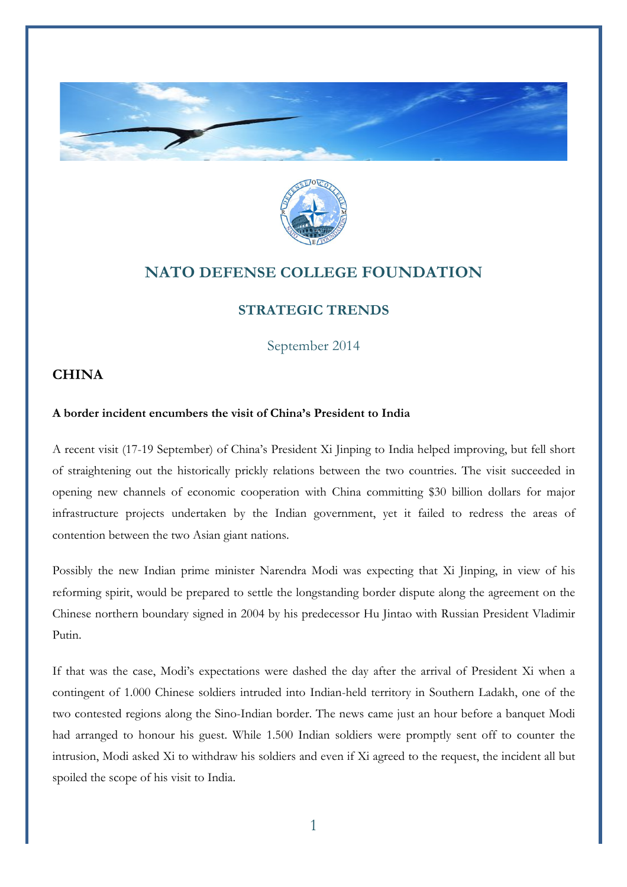



## **NATO DEFENSE COLLEGE FOUNDATION**

## **STRATEGIC TRENDS**

September 2014

## **CHINA**

## **A border incident encumbers the visit of China's President to India**

A recent visit (17-19 September) of China's President Xi Jinping to India helped improving, but fell short of straightening out the historically prickly relations between the two countries. The visit succeeded in opening new channels of economic cooperation with China committing \$30 billion dollars for major infrastructure projects undertaken by the Indian government, yet it failed to redress the areas of contention between the two Asian giant nations.

Possibly the new Indian prime minister Narendra Modi was expecting that Xi Jinping, in view of his reforming spirit, would be prepared to settle the longstanding border dispute along the agreement on the Chinese northern boundary signed in 2004 by his predecessor Hu Jintao with Russian President Vladimir Putin.

If that was the case, Modi's expectations were dashed the day after the arrival of President Xi when a contingent of 1.000 Chinese soldiers intruded into Indian-held territory in Southern Ladakh, one of the two contested regions along the Sino-Indian border. The news came just an hour before a banquet Modi had arranged to honour his guest. While 1.500 Indian soldiers were promptly sent off to counter the intrusion, Modi asked Xi to withdraw his soldiers and even if Xi agreed to the request, the incident all but spoiled the scope of his visit to India.